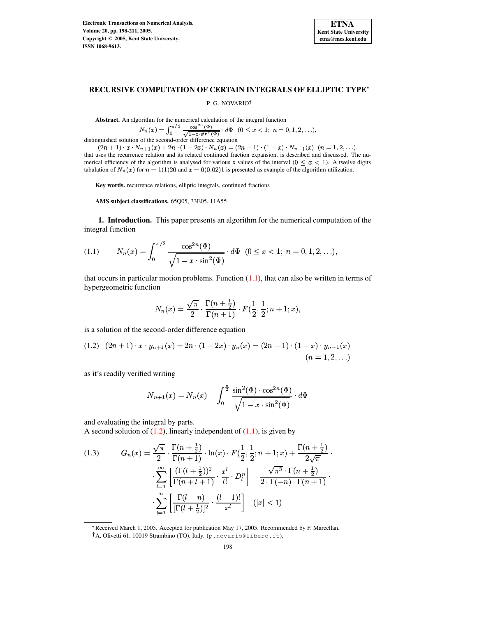

### **RECURSIVE COMPUTATION OF CERTAIN INTEGRALS OF ELLIPTIC TYPE**

P. G. NOVARIO

**Abstract.** An algorithm for the numerical calculation of the integral function

$$
N_n(x) = \int_0^{\pi/2} \frac{\cos^{2n}(\Phi)}{\sqrt{1-x \cdot \sin^2(\Phi)}} \cdot d\Phi \quad (0 \le x < 1; \ n = 0, 1, 2, \ldots),
$$

distinguished solution of the second-order difference equation

 $(2n+1)\cdot x\cdot N_{n+1}(x) + 2n\cdot (1-2x)\cdot N_n(x) = (2n-1)\cdot (1-x)\cdot N_{n-1}(x) \cdot (n=1,2,\ldots),$  $(2n+1) \cdot x \cdot N_{n+1}(x) + 2n \cdot (1-2x) \cdot N_n(x) = (2n-1) \cdot (1-x) \cdot N_{n-1}(x)$   $(n = 1, 2, \ldots)$ , that uses the recurrence relation and its related continued fraction expansion, is described and discussed. The numerical efficiency of the algorithm is analysed for various x values of the interval  $(0 \lt x \lt 1)$ . A twelve digits tabulation of  $N_n(x)$  for  $n = 1(1)20$  and  $x = 0(0.02)1$  is presented as example of the algorithm utilization.

**Key words.** recurrence relations, elliptic integrals, continued fractions

**AMS subject classifications.** 65Q05, 33E05, 11A55

**1. Introduction.** This paper presents an algorithm for the numerical computation of the integral function

<span id="page-0-0"></span>(1.1) 
$$
N_n(x) = \int_0^{\pi/2} \frac{\cos^{2n}(\Phi)}{\sqrt{1 - x \cdot \sin^2(\Phi)}} \cdot d\Phi \quad (0 \le x < 1; \ n = 0, 1, 2, \ldots),
$$

that occurs in particular motion problems. Function  $(1.1)$ , that can also be written in terms of hypergeometric function

$$
N_n(x) = \frac{\sqrt{\pi}}{2} \cdot \frac{\Gamma(n + \frac{1}{2})}{\Gamma(n + 1)} \cdot F(\frac{1}{2}, \frac{1}{2}; n + 1; x),
$$

is a solution of the second-order difference equation

<span id="page-0-1"></span>
$$
(1.2)\quad (2n+1)\cdot x\cdot y_{n+1}(x) + 2n\cdot (1-2x)\cdot y_n(x) = (2n-1)\cdot (1-x)\cdot y_{n-1}(x) \tag{n=1,2,\ldots}
$$

as it's readily verified writing

$$
N_{n+1}(x) = N_n(x) - \int_0^{\frac{\pi}{2}} \frac{\sin^2(\Phi) \cdot \cos^{2n}(\Phi)}{\sqrt{1 - x \cdot \sin^2(\Phi)}} \cdot d\Phi
$$

and evaluating the integral by parts.

A second solution of  $(1.2)$ , linearly independent of  $(1.1)$ , is given by

<span id="page-0-2"></span>(1.3) 
$$
G_n(x) = \frac{\sqrt{\pi}}{2} \cdot \frac{\Gamma(n + \frac{1}{2})}{\Gamma(n + 1)} \cdot \ln(x) \cdot F(\frac{1}{2}, \frac{1}{2}; n + 1; x) + \frac{\Gamma(n + \frac{1}{2})}{2\sqrt{\pi}} \cdot \sum_{l=1}^{\infty} \left[ \frac{(\Gamma(l + \frac{1}{2}))^2}{\Gamma(n + l + 1)} \cdot \frac{x^l}{l!} \cdot D_l^n \right] - \frac{\sqrt{\pi^3} \cdot \Gamma(n + \frac{1}{2})}{2 \cdot \Gamma(-n) \cdot \Gamma(n + 1)} \cdot \sum_{l=1}^n \left[ \frac{\Gamma(l - n)}{[\Gamma(l + \frac{1}{2})]^2} \cdot \frac{(l - 1)!}{x^l} \right] \quad (|x| < 1)
$$

\* Received March 1, 2005. Accepted for publication May 17, 2005. Recommended by F. Marcellan.

A. Olivetti 61, 10019 Strambino (TO), Italy. (p.novario@libero.it).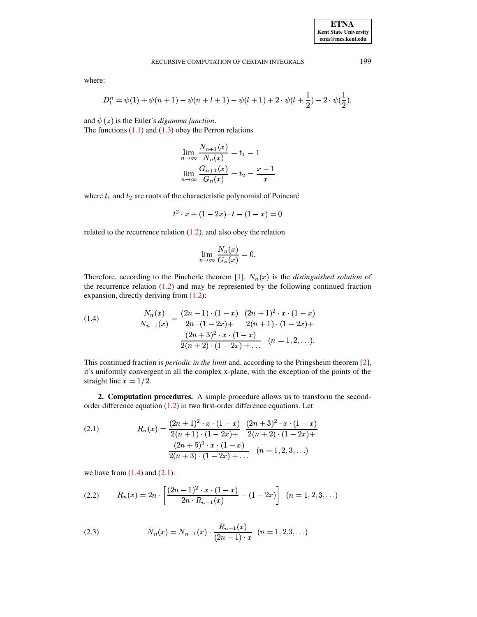where:

$$
D_l^n = \psi(1) + \psi(n+1) - \psi(n+l+1) - \psi(l+1) + 2 \cdot \psi(l+\frac{1}{2}) - 2 \cdot \psi(\frac{1}{2}),
$$

and  $\psi(z)$  is the Euler's *digamma function*.

The functions  $(1.1)$  and  $(1.3)$  obey the Perron relations

$$
\lim_{n \to \infty} \frac{N_{n+1}(x)}{N_n(x)} = t_1 = 1
$$
  

$$
\lim_{n \to \infty} \frac{G_{n+1}(x)}{G_n(x)} = t_2 = \frac{x-1}{x}
$$

where  $t_1$  and  $t_2$  are roots of the characteristic polynomial of Poincaré

$$
t^2 \cdot x + (1 - 2x) \cdot t - (1 - x) = 0
$$

related to the recurrence relation  $(1.2)$ , and also obey the relation

$$
\lim_{n \to \infty} \frac{N_n(x)}{G_n(x)} = 0.
$$

Therefore, according to the Pincherle theorem [\[1\]](#page-13-0),  $N_n(x)$  is the *distinguished solution* of the recurrence relation  $(1.2)$  and may be represented by the following continued fraction expansion, directly deriving from [\(1.2\)](#page-0-1):

<span id="page-1-0"></span>(1.4) 
$$
\frac{N_n(x)}{N_{n-1}(x)} = \frac{(2n-1) \cdot (1-x)}{2n \cdot (1-2x) + 2(n+1) \cdot (1-2x) + 2(n+2) \cdot (1-x)} = \frac{(2n+3)^2 \cdot x \cdot (1-x)}{2(n+2) \cdot (1-2x) + \dots} \quad (n=1,2,\dots).
$$

This continued fraction is *periodic in the limit* and, according to the Pringsheim theorem [\[2\]](#page-13-1), it's uniformly convergent in all the complex x-plane, with the exception of the points of the straight line  $x = 1/2$ .

**2. Computation procedures.** A simple procedure allows us to transform the secondorder difference equation [\(1.2\)](#page-0-1) in two first-order difference equations. Let

<span id="page-1-1"></span>(2.1) 
$$
R_n(x) = \frac{(2n+1)^2 \cdot x \cdot (1-x)}{2(n+1) \cdot (1-2x) + 2(n+2) \cdot (1-2x) + 2(n+3)^2 \cdot x \cdot (1-x)} - \frac{(2n+5)^2 \cdot x \cdot (1-x)}{2(n+3) \cdot (1-2x) + \dots} \quad (n=1,2,3,...)
$$

we have from  $(1.4)$  and  $(2.1)$ :

<span id="page-1-2"></span>
$$
(2.2) \qquad R_n(x) = 2n \cdot \left[ \frac{(2n-1)^2 \cdot x \cdot (1-x)}{2n \cdot R_{n-1}(x)} - (1-2x) \right] \quad (n = 1, 2, 3, \ldots)
$$

<span id="page-1-3"></span>(2.3) 
$$
N_n(x) = N_{n-1}(x) \cdot \frac{R_{n-1}(x)}{(2n-1) \cdot x} \quad (n = 1, 2.3, \ldots)
$$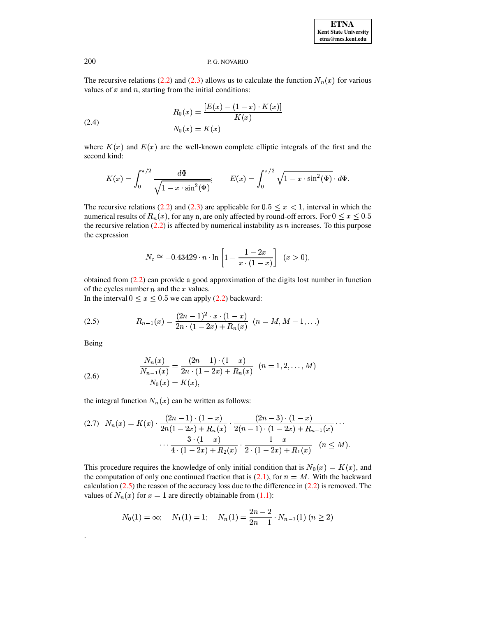The recursive relations (2.2) and (2.3) allows us to calculate the function  $N_n(x)$  for various values of  $x$  and  $n$ , starting from the initial conditions:

<span id="page-2-1"></span>(2.4) 
$$
R_0(x) = \frac{[E(x) - (1-x) \cdot K(x)]}{K(x)}
$$

$$
N_0(x) = K(x)
$$

where  $K(x)$  and  $E(x)$  are the well-known complete elliptic integrals of the first and the second kind:

$$
K(x) = \int_0^{\pi/2} \frac{d\Phi}{\sqrt{1 - x \cdot \sin^2(\Phi)}}; \qquad E(x) = \int_0^{\pi/2} \sqrt{1 - x \cdot \sin^2(\Phi)} \cdot d\Phi.
$$

The recursive relations (2.2) and (2.3) are applicable for  $0.5 \le x < 1$ , interval in which the numerical results of  $R_n(x)$ , for any n, are only affected by round-off errors. For  $0 \le x \le 0.5$ the recursive relation  $(2.2)$  is affected by numerical instability as *n* increases. To this purpose the expression

$$
N_c \cong -0.43429 \cdot n \cdot \ln \left[ 1 - \frac{1 - 2x}{x \cdot (1 - x)} \right] \quad (x > 0)
$$

obtained from  $(2.2)$  can provide a good approximation of the digits lost number in function of the cycles number  $n$  and the  $x$  values.

In the interval  $0 \le x \le 0.5$  we can apply (2.2) backward:

<span id="page-2-0"></span>(2.5) 
$$
R_{n-1}(x) = \frac{(2n-1)^2 \cdot x \cdot (1-x)}{2n \cdot (1-2x) + R_n(x)} \quad (n = M, M-1, ...)
$$

Being

<span id="page-2-2"></span>(2.6) 
$$
\frac{N_n(x)}{N_{n-1}(x)} = \frac{(2n-1) \cdot (1-x)}{2n \cdot (1-2x) + R_n(x)} \quad (n = 1, 2, ..., M)
$$

$$
N_0(x) = K(x),
$$

the integral function  $N_n(x)$  can be written as follows:

<span id="page-2-3"></span>
$$
(2.7) \quad N_n(x) = K(x) \cdot \frac{(2n-1) \cdot (1-x)}{2n(1-2x) + R_n(x)} \cdot \frac{(2n-3) \cdot (1-x)}{2(n-1) \cdot (1-2x) + R_{n-1}(x)} \cdots
$$

$$
\cdots \frac{3 \cdot (1-x)}{4 \cdot (1-2x) + R_2(x)} \cdot \frac{1-x}{2 \cdot (1-2x) + R_1(x)} \quad (n \le M).
$$

This procedure requires the knowledge of only initial condition that is  $N_0(x) = K(x)$ , and the computation of only one continued fraction that is (2.1), for  $n = M$ . With the backward calculation  $(2.5)$  the reason of the accuracy loss due to the difference in  $(2.2)$  is removed. The values of  $N_n(x)$  for  $x = 1$  are directly obtainable from (1.1):

$$
N_0(1) = \infty; \quad N_1(1) = 1; \quad N_n(1) = \frac{2n-2}{2n-1} \cdot N_{n-1}(1) \ (n \ge 2)
$$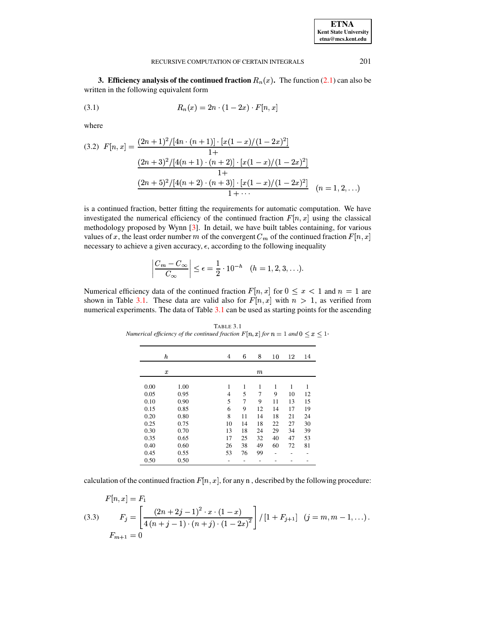| <b>ETNA</b>                  |
|------------------------------|
| <b>Kent State University</b> |
| etna@mcs.kent.edu            |

201

#### RECURSIVE COMPUTATION OF CERTAIN INTEGRALS

3. Efficiency analysis of the continued fraction  $R_n(x)$ . The function (2.1) can also be written in the following equivalent form

(3.1) 
$$
R_n(x) = 2n \cdot (1 - 2x) \cdot F[n, x]
$$

where

$$
(3.2) \ F[n,x] = \frac{(2n+1)^2/[4n \cdot (n+1)] \cdot [x(1-x)/(1-2x)^2]}{1+}
$$

$$
\frac{(2n+3)^2/[4(n+1) \cdot (n+2)] \cdot [x(1-x)/(1-2x)^2]}{1+}
$$

$$
\frac{(2n+5)^2/[4(n+2) \cdot (n+3)] \cdot [x(1-x)/(1-2x)^2]}{1+\cdots} \ (n=1,2,\ldots)
$$

is a continued fraction, better fitting the requirements for automatic computation. We have investigated the numerical efficiency of the continued fraction  $F[n, x]$  using the classical methodology proposed by Wynn [3]. In detail, we have built tables containing, for various values of x, the least order number m of the convergent  $C_m$  of the continued fraction  $F[n, x]$ necessary to achieve a given accuracy,  $\epsilon$ , according to the following inequality

$$
\left|\frac{C_m-C_{\infty}}{C_{\infty}}\right| \leq \epsilon = \frac{1}{2} \cdot 10^{-h} \quad (h=1,2,3,\ldots).
$$

Numerical efficiency data of the continued fraction  $F[n, x]$  for  $0 \le x < 1$  and  $n = 1$  are shown in Table 3.1. These data are valid also for  $F[n, x]$  with  $n > 1$ , as verified from numerical experiments. The data of Table 3.1 can be used as starting points for the ascending

TABLE 3.1 Numerical efficiency of the continued fraction  $F[n, x]$  for  $n = 1$  and  $0 \le x \le 1$ .

|      | h                | 4  | 6  | 8      | 10 | 12 | 14 |
|------|------------------|----|----|--------|----|----|----|
|      | $\boldsymbol{x}$ |    |    | $_{m}$ |    |    |    |
|      |                  |    |    |        |    |    |    |
| 0.00 | 1.00             | 1  | 1  | 1      | 1  | 1  | 1  |
| 0.05 | 0.95             | 4  | 5  | 7      | 9  | 10 | 12 |
| 0.10 | 0.90             | 5  | 7  | 9      | 11 | 13 | 15 |
| 0.15 | 0.85             | 6  | 9  | 12     | 14 | 17 | 19 |
| 0.20 | 0.80             | 8  | 11 | 14     | 18 | 21 | 24 |
| 0.25 | 0.75             | 10 | 14 | 18     | 22 | 27 | 30 |
| 0.30 | 0.70             | 13 | 18 | 24     | 29 | 34 | 39 |
| 0.35 | 0.65             | 17 | 25 | 32     | 40 | 47 | 53 |
| 0.40 | 0.60             | 26 | 38 | 49     | 60 | 72 | 81 |
| 0.45 | 0.55             | 53 | 76 | 99     | -  |    |    |
| 0.50 | 0.50             |    |    |        |    |    |    |

calculation of the continued fraction  $F[n, x]$ , for any n, described by the following procedure:

(3.3) 
$$
F_{j} = \left[\frac{(2n+2j-1)^{2} \cdot x \cdot (1-x)}{4(n+j-1) \cdot (n+j) \cdot (1-2x)^{2}}\right] / [1 + F_{j+1}] \quad (j = m, m-1, ...).
$$

$$
F_{m+1} = 0
$$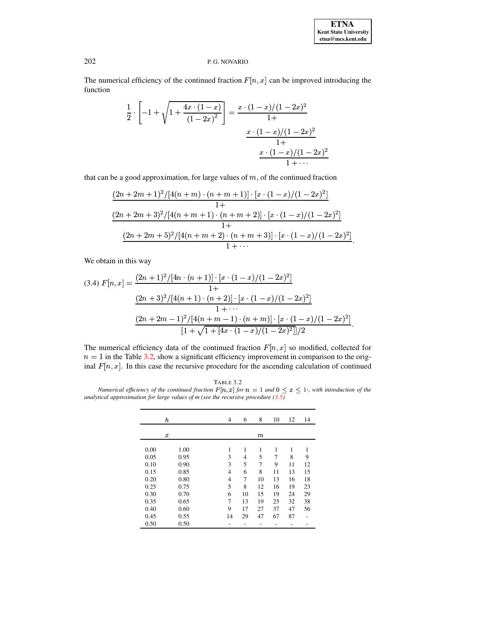| <b>ETNA</b>                  |
|------------------------------|
| <b>Kent State University</b> |
| etna@mcs.kent.edu            |

The numerical efficiency of the continued fraction  $F[n, x]$  can be improved introducing the function

$$
\frac{1}{2} \cdot \left[ -1 + \sqrt{1 + \frac{4x \cdot (1-x)}{(1-2x)^2}} \right] = \frac{x \cdot (1-x)/(1-2x)^2}{1+}
$$

$$
\frac{x \cdot (1-x)/(1-2x)^2}{1+}
$$

$$
\frac{x \cdot (1-x)/(1-2x)^2}{1+ \cdots}
$$

that can be a good approximation, for large values of  $m$ , of the continued fraction

$$
\frac{(2n+2m+1)^2/[4(n+m)\cdot(n+m+1)]\cdot[x\cdot(1-x)/(1-2x)^2]}{1+}
$$
  

$$
\frac{(2n+2m+3)^2/[4(n+m+1)\cdot(n+m+2)]\cdot[x\cdot(1-x)/(1-2x)^2]}{1+}
$$
  

$$
\frac{(2n+2m+5)^2/[4(n+m+2)\cdot(n+m+3)]\cdot[x\cdot(1-x)/(1-2x)^2]}{1+\cdots}
$$

We obtain in this way

$$
(3.4) F[n,x] = \frac{(2n+1)^2/[4n \cdot (n+1)] \cdot [x \cdot (1-x)/(1-2x)^2]}{1+}
$$

$$
\frac{(2n+3)^2/[4(n+1) \cdot (n+2)] \cdot [x \cdot (1-x)/(1-2x)^2]}{1+\cdots}
$$

$$
\frac{(2n+2m-1)^2/[4(n+m-1) \cdot (n+m)] \cdot [x \cdot (1-x)/(1-2x)^2]}{[1+\sqrt{1+[4x \cdot (1-x)/(1-2x)^2]}]/2}.
$$

The numerical efficiency data of the continued fraction  $F[n, x]$  so modified, collected for  $n = 1$  in the Table 3.2, show a significant efficiency improvement in comparison to the original  $F[n, x]$ . In this case the recursive procedure for the ascending calculation of continued

TABLE 3.2 Numerical efficiency of the continued fraction  $F[n, x]$  for  $n = 1$  and  $0 \le x \le 1$ , with introduction of the analytical approximation for large values of  $m$  (see the recursive procedure (3.5)

|      | h                | 4              | 6  | 8      | 10 | 12 | 14 |
|------|------------------|----------------|----|--------|----|----|----|
|      | $\boldsymbol{x}$ |                |    | $_{m}$ |    |    |    |
| 0.00 | 1.00             | 1              | 1  | 1      | 1  | 1  | 1  |
| 0.05 | 0.95             | 3              | 4  | 5      | 7  | 8  | 9  |
| 0.10 | 0.90             | 3              | 5  | 7      | 9  | 11 | 12 |
| 0.15 | 0.85             | $\overline{4}$ | 6  | 8      | 11 | 13 | 15 |
| 0.20 | 0.80             | $\overline{4}$ | 7  | 10     | 13 | 16 | 18 |
| 0.25 | 0.75             | 5              | 8  | 12     | 16 | 19 | 23 |
| 0.30 | 0.70             | 6              | 10 | 15     | 19 | 24 | 29 |
| 0.35 | 0.65             | 7              | 13 | 19     | 25 | 32 | 38 |
| 0.40 | 0.60             | 9              | 17 | 27     | 37 | 47 | 56 |
| 0.45 | 0.55             | 14             | 29 | 47     | 67 | 87 |    |
| 0.50 | 0.50             |                |    |        |    |    |    |

202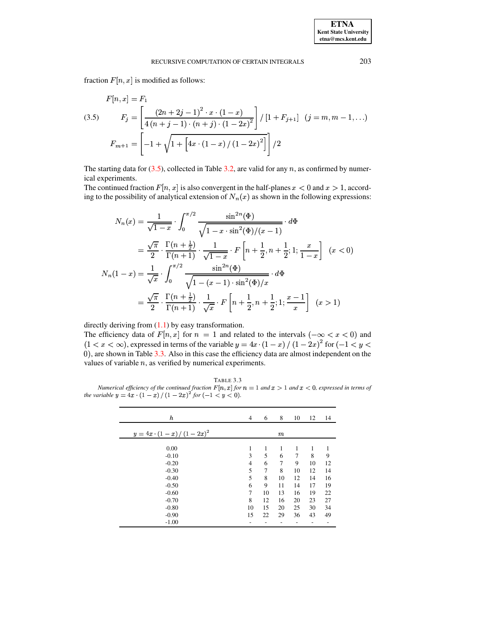fraction  $F[n, x]$  is modified as follows:

<span id="page-5-0"></span>
$$
F[n, x] = F_1
$$
\n
$$
(3.5) \qquad F_j = \left[ \frac{(2n+2j-1)^2 \cdot x \cdot (1-x)}{4(n+j-1) \cdot (n+j) \cdot (1-2x)^2} \right] / [1 + F_{j+1}] \quad (j = m, m-1, \ldots)
$$
\n
$$
F_{m+1} = \left[ -1 + \sqrt{1 + \left[ 4x \cdot (1-x) / (1-2x)^2 \right]} \right] / 2
$$

The starting data for  $(3.5)$ , collected in Table 3.2, are valid for any n, as confirmed by numerical experiments.

The continued fraction  $F[n, x]$  is also convergent in the half-planes  $x < 0$  and  $x > 1$ , according to the possibility of analytical extension of  $N_n(x)$  as shown in the following expressions:

$$
N_n(x) = \frac{1}{\sqrt{1-x}} \cdot \int_0^{\pi/2} \frac{\sin^{2n}(\Phi)}{\sqrt{1-x \cdot \sin^2(\Phi)/(x-1)}} \cdot d\Phi
$$
  

$$
= \frac{\sqrt{\pi}}{2} \cdot \frac{\Gamma(n+\frac{1}{2})}{\Gamma(n+1)} \cdot \frac{1}{\sqrt{1-x}} \cdot F\left[n+\frac{1}{2}, n+\frac{1}{2}; 1; \frac{x}{1-x}\right] \quad (x < 0)
$$
  

$$
N_n(1-x) = \frac{1}{\sqrt{x}} \cdot \int_0^{\pi/2} \frac{\sin^{2n}(\Phi)}{\sqrt{1-(x-1) \cdot \sin^2(\Phi)/x}} \cdot d\Phi
$$
  

$$
= \frac{\sqrt{\pi}}{2} \cdot \frac{\Gamma(n+\frac{1}{2})}{\Gamma(n+1)} \cdot \frac{1}{\sqrt{x}} \cdot F\left[n+\frac{1}{2}, n+\frac{1}{2}; 1; \frac{x-1}{x}\right] \quad (x > 1)
$$

directly deriving from  $(1.1)$  by easy transformation.

The efficiency data of  $F[n, x]$  for  $n = 1$  and related to the intervals  $(-\infty < x < 0)$  and  $(1 < x < \infty)$ , expressed in terms of the variable  $y = 4x \cdot (1 - x) / (1 - 2x)^2$  for  $(-1 < y <$ 0), are shown in Table 3.3. Also in this case the efficiency data are almost independent on the values of variable  $n$ , as verified by numerical experiments.

TABLE 3.3 Numerical efficiency of the continued fraction  $F[n, x]$  for  $n = 1$  and  $x > 1$  and  $x < 0$ , expressed in terms of the variable  $y = 4x \cdot (1 - x) / (1 - 2x)^2$  for  $(-1 < y < 0)$ .

| $\boldsymbol{h}$        | $\overline{4}$ | 6  | 8     | 10 | 12 | 14 |
|-------------------------|----------------|----|-------|----|----|----|
| $y = 4x (1-x)/(1-2x)^2$ |                |    | $\,m$ |    |    |    |
| 0.00                    | 1              | 1  | 1     | 1  | 1  |    |
| $-0.10$                 | 3              | 5  | 6     | 7  | 8  | 9  |
| $-0.20$                 | $\overline{4}$ | 6  | 7     | 9  | 10 | 12 |
| $-0.30$                 | 5              | 7  | 8     | 10 | 12 | 14 |
| $-0.40$                 | 5              | 8  | 10    | 12 | 14 | 16 |
| $-0.50$                 | 6              | 9  | 11    | 14 | 17 | 19 |
| $-0.60$                 | 7              | 10 | 13    | 16 | 19 | 22 |
| $-0.70$                 | 8              | 12 | 16    | 20 | 23 | 27 |
| $-0.80$                 | 10             | 15 | 20    | 25 | 30 | 34 |
| $-0.90$                 | 15             | 22 | 29    | 36 | 43 | 49 |
| $-1.00$                 |                |    |       |    |    |    |

203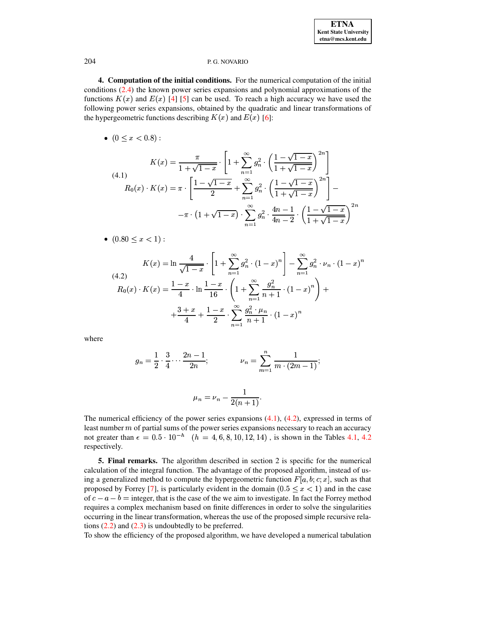4. Computation of the initial conditions. For the numerical computation of the initial conditions (2.4) the known power series expansions and polynomial approximations of the functions  $K(x)$  and  $E(x)$  [4] [5] can be used. To reach a high accuracy we have used the following power series expansions, obtained by the quadratic and linear transformations of the hypergeometric functions describing  $K(x)$  and  $E(x)$  [6]:

•  $(0 \le x \le 0.8)$ :

<span id="page-6-0"></span>(4.1)  
\n
$$
K(x) = \frac{\pi}{1 + \sqrt{1 - x}} \cdot \left[ 1 + \sum_{n=1}^{\infty} g_n^2 \cdot \left( \frac{1 - \sqrt{1 - x}}{1 + \sqrt{1 - x}} \right)^{2n} \right]
$$
\n
$$
R_0(x) \cdot K(x) = \pi \cdot \left[ \frac{1 - \sqrt{1 - x}}{2} + \sum_{n=1}^{\infty} g_n^2 \cdot \left( \frac{1 - \sqrt{1 - x}}{1 + \sqrt{1 - x}} \right)^{2n} \right] - \left[ -\pi \cdot \left( 1 + \sqrt{1 - x} \right) \cdot \sum_{n=1}^{\infty} g_n^2 \cdot \frac{4n - 1}{4n - 2} \cdot \left( \frac{1 - \sqrt{1 - x}}{1 + \sqrt{1 - x}} \right)^{2n} \right]
$$

•  $(0.80 \leq x < 1)$ :

<span id="page-6-1"></span>(4.2)  
\n
$$
K(x) = \ln \frac{4}{\sqrt{1-x}} \cdot \left[ 1 + \sum_{n=1}^{\infty} g_n^2 \cdot (1-x)^n \right] - \sum_{n=1}^{\infty} g_n^2 \cdot \nu_n \cdot (1-x)^n
$$
\n
$$
R_0(x) \cdot K(x) = \frac{1-x}{4} \cdot \ln \frac{1-x}{16} \cdot \left( 1 + \sum_{n=1}^{\infty} \frac{g_n^2}{n+1} \cdot (1-x)^n \right) + \frac{3+x}{4} + \frac{1-x}{2} \cdot \sum_{n=1}^{\infty} \frac{g_n^2 \cdot \mu_n}{n+1} \cdot (1-x)^n
$$

where

$$
g_n = \frac{1}{2} \cdot \frac{3}{4} \cdot \cdot \cdot \frac{2n-1}{2n}; \qquad \nu_n = \sum_{m=1}^n \frac{1}{m \cdot (2m-1)};
$$

$$
\mu_n=\nu_n-\frac{1}{2(n+1)}.
$$

The numerical efficiency of the power series expansions  $(4.1)$ ,  $(4.2)$ , expressed in terms of least number  $m$  of partial sums of the power series expansions necessary to reach an accuracy not greater than  $\epsilon = 0.5 \cdot 10^{-h}$   $(h = 4, 6, 8, 10, 12, 14)$ , is shown in the Tables 4.1, 4.2 respectively.

**5. Final remarks.** The algorithm described in section 2 is specific for the numerical calculation of the integral function. The advantage of the proposed algorithm, instead of using a generalized method to compute the hypergeometric function  $F[a, b; c; x]$ , such as that proposed by Forrey [7], is particularly evident in the domain  $(0.5 \le x < 1)$  and in the case of  $c - a - b$  = integer, that is the case of the we aim to investigate. In fact the Forrey method requires a complex mechanism based on finite differences in order to solve the singularities occurring in the linear transformation, whereas the use of the proposed simple recursive relations  $(2.2)$  and  $(2.3)$  is undoubtedly to be preferred.

To show the efficiency of the proposed algorithm, we have developed a numerical tabulation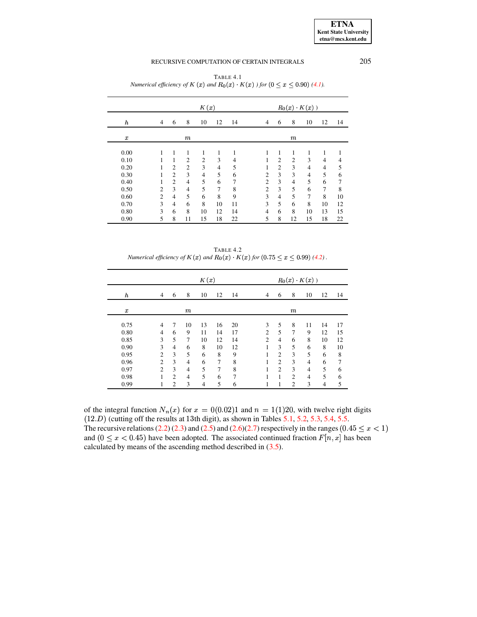|                  |                |                |                  | K(x)           |    |    |                |                |                | $R_0(x) \cdot K(x)$ ) |                |    |
|------------------|----------------|----------------|------------------|----------------|----|----|----------------|----------------|----------------|-----------------------|----------------|----|
| h                | $\overline{4}$ | 6              | 8                | 10             | 12 | 14 | $\overline{4}$ | 6              | 8              | 10                    | 12             | 14 |
| $\boldsymbol{x}$ |                |                | $\boldsymbol{m}$ |                |    |    |                |                | $\,m$          |                       |                |    |
| 0.00             |                |                | 1                | 1              |    |    |                | 1              | 1              | 1                     |                | 1  |
| 0.10             |                |                | $\overline{2}$   | $\overline{2}$ | 3  | 4  |                | $\overline{2}$ | $\overline{c}$ | 3                     | $\overline{4}$ | 4  |
| 0.20             |                | $\overline{c}$ | $\overline{2}$   | 3              | 4  | 5  |                | $\overline{2}$ | 3              | $\overline{4}$        | $\overline{4}$ | 5  |
| 0.30             |                | $\overline{2}$ | 3                | 4              | 5  | 6  | $\overline{c}$ | 3              | 3              | $\overline{4}$        | 5              | 6  |
| 0.40             |                | $\overline{2}$ | 4                | 5              | 6  | 7  | $\overline{2}$ | 3              | 4              | 5                     | 6              | 7  |
| 0.50             | $\overline{c}$ | 3              | 4                | 5              | 7  | 8  | $\overline{c}$ | 3              | 5              | 6                     | 7              | 8  |
| 0.60             | $\overline{c}$ | 4              | 5                | 6              | 8  | 9  | 3              | $\overline{4}$ | 5              | 7                     | 8              | 10 |
| 0.70             | 3              | 4              | 6                | 8              | 10 | 11 | 3              | 5              | 6              | 8                     | 10             | 12 |
| 0.80             | 3              | 6              | 8                | 10             | 12 | 14 | $\overline{4}$ | 6              | 8              | 10                    | 13             | 15 |
| 0.90             | 5              | 8              | 11               | 15             | 18 | 22 | 5              | 8              | 12             | 15                    | 18             | 22 |

TABLE 4.1 Numerical efficiency of K (x) and  $R_0(x)$  K(x) ) for  $(0 \le x \le 0.90)$  (4.1).

TABLE 4.2 Numerical efficiency of  $K(x)$  and  $R_0(x)$   $K(x)$  for  $(0.75 \le x \le 0.99)$  (4.2).

|                  |                |                |                | K(x) |    |    |                |                |                | $R_0(x)$ $K(x)$ ) |    |    |
|------------------|----------------|----------------|----------------|------|----|----|----------------|----------------|----------------|-------------------|----|----|
| $\boldsymbol{h}$ | $\overline{4}$ | 6              | 8              | 10   | 12 | 14 | $\overline{4}$ | 6              | 8              | 10                | 12 | 14 |
| $\boldsymbol{x}$ |                |                | $\,m$          |      |    |    |                |                | $\,m$          |                   |    |    |
|                  |                |                |                |      |    |    |                |                |                |                   |    |    |
| 0.75             | 4              | 7              | 10             | 13   | 16 | 20 | 3              | 5              | 8              | 11                | 14 | 17 |
| 0.80             | 4              | 6              | 9              | 11   | 14 | 17 | $\overline{2}$ | 5              | 7              | 9                 | 12 | 15 |
| 0.85             | 3              | 5              | 7              | 10   | 12 | 14 | 2              | $\overline{4}$ | 6              | 8                 | 10 | 12 |
| 0.90             | 3              | 4              | 6              | 8    | 10 | 12 |                | 3              | 5              | 6                 | 8  | 10 |
| 0.95             | $\overline{c}$ | 3              | 5              | 6    | 8  | 9  |                | $\overline{c}$ | 3              | 5                 | 6  | 8  |
| 0.96             | 2              | 3              | $\overline{4}$ | 6    | 7  | 8  |                | $\overline{c}$ | 3              | 4                 | 6  | 7  |
| 0.97             | $\mathfrak{D}$ | 3              | $\overline{4}$ | 5    | 7  | 8  |                | $\mathfrak{D}$ | 3              | 4                 | 5  | 6  |
| 0.98             | 1              | $\overline{2}$ | $\overline{4}$ | 5    | 6  | 7  |                | 1              | $\overline{2}$ | 4                 | 5  | 6  |
| 0.99             | 1              | 2              | 3              | 4    | 5  | 6  |                | 1              | $\overline{2}$ | 3                 | 4  | 5  |

of the integral function  $N_n(x)$  for  $x = 0(0.02)1$  and  $n = 1(1)20$ , with twelve right digits  $(12.D)$  (cutting off the results at 13th digit), as shown in Tables 5.1, 5.2, 5.3, 5.4, 5.5. The recursive relations (2.2) (2.3) and (2.5) and (2.6)(2.7) respectively in the ranges (0.45  $\leq$   $x$  < 1) and  $(0 \le x < 0.45)$  have been adopted. The associated continued fraction  $F[n, x]$  has been calculated by means of the ascending method described in  $(3.5)$ .

205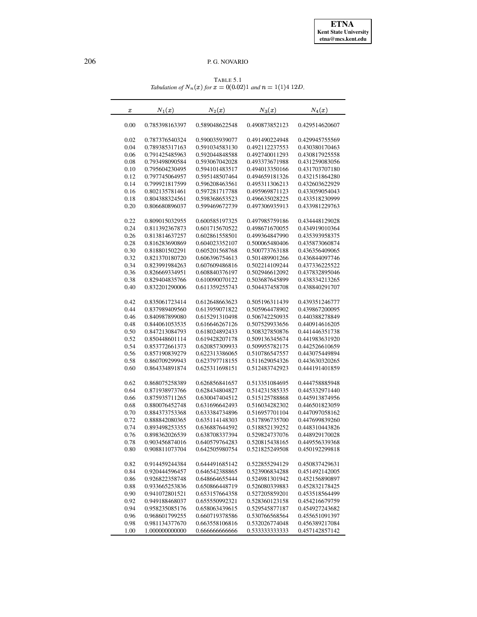TABLE 5.1 *Tabulation of*  $N_n(x)$  *for*  $x = 0(0.02)1$  *and*  $n = 1(1)4$  12*D*.

<span id="page-8-0"></span>

| $\boldsymbol{x}$ | $N_1(x)$       | $N_2(x)$       | $N_3(x)$       | $N_4(x)$       |
|------------------|----------------|----------------|----------------|----------------|
| 0.00             | 0.785398163397 | 0.589048622548 | 0.490873852123 | 0.429514620607 |
| 0.02             | 0.787376540324 | 0.590035939077 | 0.491490224948 | 0.429945755569 |
| 0.04             | 0.789385317163 | 0.591034583130 | 0.492112237553 | 0.430380170463 |
| 0.06             | 0.791425485963 | 0.592044848588 | 0.492740011293 | 0.430817925558 |
| 0.08             | 0.793498090584 | 0.593067042028 | 0.493373671988 | 0.431259083056 |
| 0.10             | 0.795604230495 | 0.594101483517 | 0.494013350166 | 0.431703707180 |
| 0.12             | 0.797745064957 | 0.595148507464 | 0.494659181326 | 0.432151864280 |
| 0.14             | 0.799921817599 | 0.596208463561 | 0.495311306213 | 0.432603622929 |
| 0.16             | 0.802135781461 | 0.597281717788 | 0.495969871123 | 0.433059054043 |
| 0.18             | 0.804388324561 | 0.598368653523 | 0.496635028225 | 0.433518230999 |
| 0.20             | 0.806680896037 | 0.599469672739 | 0.497306935913 | 0.433981229763 |
| 0.22             | 0.809015032955 | 0.600585197325 | 0.497985759186 | 0.434448129028 |
| 0.24             | 0.811392367873 | 0.601715670522 | 0.498671670055 | 0.434919010364 |
| 0.26             | 0.813814637257 | 0.602861558501 | 0.499364847990 | 0.435393958375 |
| 0.28             | 0.816283690869 | 0.604023352107 | 0.500065480406 | 0.435873060874 |
| 0.30             | 0.818801502291 | 0.605201568768 | 0.500773763188 | 0.436356409065 |
| 0.32             | 0.821370180720 | 0.606396754613 | 0.501489901266 | 0.436844097746 |
| 0.34             | 0.823991984263 | 0.607609486816 | 0.502214109244 | 0.437336225522 |
| 0.36             | 0.826669334951 | 0.608840376197 | 0.502946612092 | 0.437832895046 |
| 0.38             | 0.829404835766 | 0.610090070122 | 0.503687645899 | 0.438334213265 |
| 0.40             | 0.832201290006 | 0.611359255743 | 0.504437458708 | 0.438840291707 |
| 0.42             | 0.835061723414 | 0.612648663623 | 0.505196311439 | 0.439351246777 |
| 0.44             | 0.837989409560 | 0.613959071822 | 0.505964478902 | 0.439867200095 |
| 0.46             | 0.840987899080 | 0.615291310498 | 0.506742250935 | 0.440388278849 |
| 0.48             | 0.844061053535 | 0.616646267126 | 0.507529933656 | 0.440914616205 |
| 0.50             | 0.847213084793 | 0.618024892433 | 0.508327850876 | 0.441446351738 |
| 0.52             | 0.850448601114 | 0.619428207178 | 0.509136345674 | 0.441983631920 |
| 0.54             | 0.853772661373 | 0.620857309933 | 0.509955782175 | 0.442526610659 |
| 0.56             | 0.857190839279 | 0.622313386065 | 0.510786547557 | 0.443075449894 |
| 0.58             | 0.860709299943 | 0.623797718155 | 0.511629054326 | 0.443630320265 |
| 0.60             | 0.864334891874 | 0.625311698151 | 0.512483742923 | 0.444191401859 |
| 0.62             | 0.868075258389 | 0.626856841657 | 0.513351084695 | 0.444758885948 |
| 0.64             | 0.871938973766 | 0.628434804827 | 0.514231585335 | 0.445332971440 |
| 0.66             | 0.875935711265 | 0.630047404512 | 0.515125788868 | 0.445913874956 |
| 0.68             | 0.880076452748 | 0.631696642493 | 0.516034282302 | 0.446501823059 |
| 0.70             | 0.884373753368 | 0.633384734896 | 0.516957701104 | 0.447097058162 |
| 0.72             | 0.888842080365 | 0.635114148303 | 0.517896735700 | 0.447699839260 |
| 0.74             | 0.893498253355 | 0.636887644592 | 0.518852139252 | 0.448310443826 |
| 0.76             | 0.898362026539 | 0.638708337394 | 0.529824737076 | 0.448929170028 |
| 0.78             | 0.903456874016 | 0.640579764283 | 0.520815438165 | 0.449556339368 |
| 0.80             | 0.908811073704 | 0.642505980754 | 0.521825249508 | 0.450192299818 |
| 0.82             | 0.914459244384 | 0.644491685142 | 0.522855294129 | 0.450837429631 |
| 0.84             | 0.920444596457 | 0.646542388865 | 0.523906834288 | 0.451492142005 |
| 0.86             | 0.926822358748 | 0.648664655444 | 0.524981301942 | 0.452156890897 |
| 0.88             | 0.933665253836 | 0.650866448719 | 0.526080339883 | 0.452832178425 |
| 0.90             | 0.941072801521 | 0.653157664358 | 0.527205859201 | 0.453518564499 |
| 0.92             | 0.949188468037 | 0.655550992321 | 0.528360123158 | 0.454216679759 |
| 0.94             | 0.958235085176 | 0.658063439615 | 0.529545877187 | 0.454927243682 |
| 0.96             | 0.968601799255 | 0.660719378586 | 0.530766568564 | 0.455651091397 |
| 0.98             | 0.981134377670 | 0.663558106816 | 0.532026774048 | 0.456389217084 |
| 1.00             | 1.000000000000 | 0.66666666666  | 0.533333333333 | 0.457142857142 |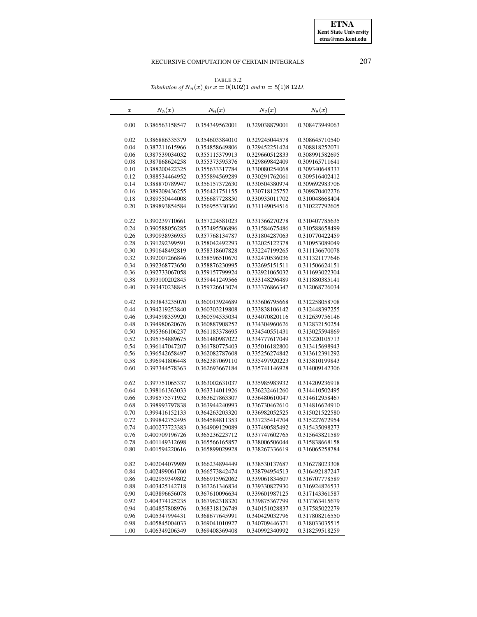TABLE 5.2 *Tabulation of*  $N_n(x)$  for  $x = 0(0.02)1$  and  $n = 5(1)8$  12D.

<span id="page-9-0"></span>

| $\boldsymbol{x}$ | $N_5(x)$       | $N_6(x)$       | $N_7(x)$       | $N_8(x)$       |
|------------------|----------------|----------------|----------------|----------------|
| 0.00             | 0.386563158547 | 0.354349562001 | 0.329038879001 | 0.308473949063 |
| 0.02             | 0.386886335379 | 0.354603384010 | 0.329245044578 | 0.308645710540 |
| 0.04             | 0.387211615966 | 0.354858649806 | 0.329452251424 | 0.308818252071 |
| 0.06             | 0.387539034032 | 0.355115379913 | 0.329660512833 | 0.308991582695 |
| 0.08             | 0.387868624258 | 0.355373595376 | 0.329869842409 | 0.309165711641 |
| 0.10             | 0.388200422325 | 0.355633317784 | 0.330080254068 | 0.309340648337 |
| 0.12             | 0.388534464952 | 0.355894569289 | 0.330291762061 | 0.309516402412 |
| 0.14             | 0.388870789947 | 0.356157372630 | 0.330504380974 | 0.309692983706 |
| 0.16             | 0.389209436255 | 0.356421751155 | 0.330718125752 | 0.309870402276 |
| 0.18             | 0.389550444008 | 0.356687728850 | 0.330933011702 | 0.310048668404 |
| 0.20             | 0.389893854584 | 0.356955330360 | 0.331149054516 | 0.310227792605 |
| 0.22             | 0.390239710661 | 0.357224581023 | 0.331366270278 | 0.310407785635 |
| 0.24             | 0.390588056285 | 0.357495506896 | 0.331584675486 | 0.310588658499 |
| 0.26             | 0.390938936935 | 0.357768134787 | 0.331804287063 | 0.310770422459 |
| 0.28             | 0.391292399591 | 0.358042492293 | 0.332025122378 | 0.310953089049 |
| 0.30             | 0.391648492819 | 0.358318607828 | 0.332247199265 | 0.311136670078 |
| 0.32             | 0.392007266846 | 0.358596510670 | 0.332470536036 | 0.311321177646 |
| 0.34             | 0.392368773650 | 0.358876230995 | 0.332695151511 | 0.311506624151 |
| 0.36             | 0.392733067058 | 0.359157799924 | 0.332921065032 | 0.311693022304 |
| 0.38             | 0.393100202845 | 0.359441249566 | 0.333148296489 | 0.311880385141 |
| 0.40             | 0.393470238845 | 0.359726613074 | 0.333376866347 | 0.312068726034 |
| 0.42             | 0.393843235070 | 0.360013924689 | 0.333606795668 | 0.312258058708 |
| 0.44             | 0.394219253840 | 0.360303219808 | 0.333838106142 | 0.312448397255 |
| 0.46             | 0.394598359920 | 0.360594535034 | 0.334070820116 | 0.312639756146 |
| 0.48             | 0.394980620676 | 0.360887908252 | 0.334304960626 | 0.312832150254 |
| 0.50             | 0.395366106237 | 0.361183378695 | 0.334540551431 | 0.313025594869 |
| 0.52             | 0.395754889675 | 0.361480987022 | 0.334777617049 | 0.313220105713 |
| 0.54             | 0.396147047207 | 0.361780775403 | 0.335016182800 | 0.313415698943 |
| 0.56             | 0.396542658497 | 0.362082787608 | 0.335256274842 | 0.313612391292 |
| 0.58             | 0.396941806448 | 0.362387069110 | 0.335497920223 | 0.313810199843 |
| 0.60             | 0.397344578363 | 0.362693667184 | 0.335741146928 | 0.314009142306 |
| 0.62             | 0.397751065337 | 0.363002631037 | 0.335985983932 | 0.314209236918 |
| 0.64             | 0.398161363033 | 0.363314011926 | 0.336232461260 | 0.314410502495 |
| 0.66             | 0.398575571952 | 0.363627863307 | 0.336480610047 | 0.314612958467 |
| 0.68             | 0.398993797838 | 0.363944240993 | 0.336730462610 | 0.314816624910 |
| 0.70             | 0.399416152133 | 0.364263203320 | 0.336982052525 | 0.315021522580 |
| 0.72             | 0.399842752495 | 0.364584811353 | 0.337235414704 | 0.315227672954 |
| 0.74             | 0.400273723383 | 0.364909129089 | 0.337490585492 | 0.315435098273 |
| 0.76             | 0.400709196726 | 0.365236223712 | 0.337747602765 | 0.315643821589 |
| 0.78             | 0.401149312698 | 0.365566165857 | 0.338006506044 | 0.315838668158 |
| 0.80             | 0.401594220616 | 0.365899029928 | 0.338267336619 | 0.316065258784 |
| 0.82             | 0.402044079989 | 0.366234894449 | 0.338530137687 | 0.316278023308 |
| 0.84             | 0.402499061760 | 0.366573842474 | 0.338794954513 | 0.316492187247 |
| 0.86             | 0.402959349802 | 0.366915962062 | 0.339061834607 | 0.316707778589 |
| 0.88             | 0.403425142718 | 0.367261346834 | 0.339330827930 | 0.316924826533 |
| 0.90             | 0.403896656078 | 0.367610096634 | 0.339601987125 | 0.317143361587 |
| 0.92             | 0.404374125235 | 0.367962318320 | 0.339875367799 | 0.317363415679 |
| 0.94             | 0.404857808976 | 0.368318126749 | 0.340151028837 | 0.317585022279 |
| 0.96             | 0.405347994431 | 0.368677645991 | 0.340429032796 | 0.317808216550 |
| 0.98             | 0.405845004033 | 0.369041010927 | 0.340709446371 | 0.318033035515 |
| 1.00             | 0.406349206349 | 0.369408369408 | 0.340992340992 | 0.318259518259 |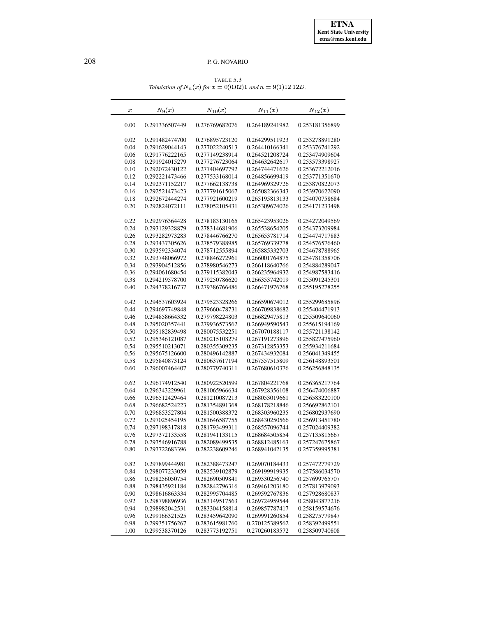TABLE 5.3 *Tabulation of*  $N_n(x)$  *for*  $x = 0(0.02)1$  *and*  $n = 9(1)12$  12*D*.

<span id="page-10-0"></span>

| $\boldsymbol{x}$ | $N_9(x)$                         | $N_{10}(x)$    | $N_{11}(x)$    | $N_{12}(x)$    |
|------------------|----------------------------------|----------------|----------------|----------------|
| 0.00             | 0.291336507449                   | 0.276769682076 | 0.264189241982 | 0.253181356899 |
| 0.02             | 0.291482474700                   | 0.276895723120 | 0.264299511923 | 0.253278891280 |
| 0.04             | 0.291629044143                   | 0.277022240513 | 0.264410166341 | 0.253376741292 |
| 0.06             | 0.291776222165                   | 0.277149238914 | 0.264521208724 | 0.253474909604 |
| 0.08             | 0.291924015279                   | 0.277276723064 | 0.264632642617 | 0.253573398927 |
| 0.10             | 0.292072430122                   | 0.277404697792 | 0.264744471626 | 0.253672212016 |
| 0.12             | 0.292221473466                   | 0.277533168014 | 0.264856699419 | 0.253771351670 |
| 0.14             | 0.292371152217                   | 0.277662138738 | 0.264969329726 | 0.253870822073 |
| 0.16             | 0.292521473423                   | 0.277791615067 | 0.265082366343 | 0.253970622090 |
| 0.18             | 0.292672444274                   | 0.277921600219 | 0.265195813133 | 0.254070758684 |
| 0.20             | 0.292824072111                   | 0.278052105431 | 0.265309674026 | 0.254171233498 |
| 0.22             | 0.292976364428                   | 0.278183130165 | 0.265423953026 | 0.254272049569 |
| 0.24             | 0.293129328879                   | 0.278314681906 | 0.265538654205 | 0.254373209984 |
| 0.26             | 0.293282973283                   | 0.278446766270 | 0.265653781714 | 0.254474717883 |
| 0.28             | 0.293437305626                   | 0.278579388985 | 0.265769339778 | 0.254576576460 |
| 0.30             | 0.293592334074                   | 0.278712555894 | 0.265885332703 | 0.254678788965 |
| 0.32             | 0.293748066972                   | 0.278846272961 | 0.266001764875 | 0.254781358706 |
| 0.34             | 0.293904512856                   | 0.278980546273 | 0.266118640766 | 0.254884289047 |
| 0.36             | 0.294061680454                   | 0.279115382043 | 0.266235964932 | 0.254987583416 |
| 0.38             | 0.294219578700                   | 0.279250786620 | 0.266353742019 | 0.255091245301 |
| 0.40             | 0.294378216737                   | 0.279386766486 | 0.266471976768 | 0.255195278255 |
| 0.42             | 0.294537603924                   | 0.279523328266 | 0.266590674012 | 0.255299685896 |
| 0.44             | 0.294697749848                   | 0.279660478731 | 0.266709838682 | 0.255404471913 |
| 0.46             | 0.294858664332                   | 0.279798224803 | 0.266829475813 | 0.255509640060 |
| 0.48             | 0.295020357441                   | 0.279936573562 | 0.266949590543 | 0.255615194169 |
| 0.50             | 0.295182839498                   | 0.280075532251 | 0.267070188117 | 0.255721138142 |
| 0.52             | 0.295346121087                   | 0.280215108279 | 0.267191273896 | 0.255827475960 |
| 0.54             | 0.295510213071                   | 0.280355309235 | 0.267312853353 | 0.255934211684 |
| 0.56             | 0.295675126600                   | 0.280496142887 | 0.267434932084 | 0.256041349455 |
| 0.58             | 0.295840873124                   | 0.280637617194 | 0.267557515809 | 0.256148893501 |
| 0.60             | 0.296007464407                   | 0.280779740311 | 0.267680610376 | 0.256256848135 |
| 0.62             | 0.296174912540                   | 0.280922520599 | 0.267804221768 | 0.256365217764 |
| 0.64             | 0.296343229961                   | 0.281065966634 | 0.267928356108 | 0.256474006887 |
| 0.66             | 0.296512429464                   | 0.281210087213 | 0.268053019661 | 0.256583220100 |
| 0.68             | 0.296682524223                   | 0.281354891368 | 0.268178218846 | 0.256692862101 |
| 0.70             | 0.296853527804                   | 0.281500388372 | 0.268303960235 | 0.256802937690 |
| 0.72             | 0.297025454195                   | 0.281646587755 | 0.268430250566 | 0.256913451780 |
| 0.74             | 0.297198317818                   | 0.281793499311 | 0.268557096744 | 0.257024409382 |
| 0.76             | 0.297372133558                   | 0.281941133115 | 0.268684505854 | 0.257135815667 |
| 0.78             | 0.297546916788                   | 0.282089499535 | 0.268812485163 | 0.257247675867 |
| 0.80             | 0.297722683396                   | 0.282238609246 | 0.268941042135 | 0.257359995381 |
| 0.82             | 0.297899444981                   | 0.282388473247 | 0.269070184433 | 0.257472779729 |
| 0.84             | 0.298077233059                   | 0.282539102879 | 0.269199919935 | 0.257586034570 |
| 0.86             | 0.298256050754                   | 0.282690509841 | 0.269330256740 | 0.257699765707 |
| 0.88             | 0.298435921184                   | 0.282842796316 | 0.269461203180 | 0.257813979093 |
| 0.90             | 0.298616863334                   | 0.282995704485 | 0.269592767836 | 0.257928680837 |
| 0.92             | 0.298798896936                   | 0.283149517563 | 0.269724959544 | 0.258043877216 |
| 0.94             | 0.298982042531                   | 0.283304158814 | 0.269857787417 | 0.258159574676 |
| 0.96             | 0.299166321525                   | 0.283459642090 | 0.269991260854 | 0.258275779847 |
| 0.98             | 0.299351756267<br>0.299538370126 | 0.283615981760 | 0.270125389562 | 0.258392499551 |
| 1.00             |                                  | 0.283773192751 | 0.270260183572 | 0.258509740808 |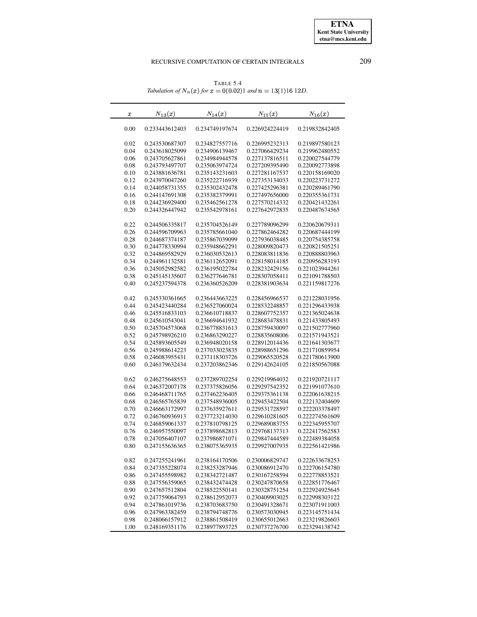TABLE 5.4 *Tabulation of*  $N_n(x)$  *for*  $x = 0(0.02)1$  *and*  $n = 13(1)16 12D$ .

<span id="page-11-0"></span>

| $\boldsymbol{x}$ | $N_{13}(x)$    | $N_{14}(x)$    | $N_{15}(x)$    | $N_{16}(x)$    |
|------------------|----------------|----------------|----------------|----------------|
| 0.00             | 0.233443612403 | 0.234749197674 | 0.226924224419 | 0.219832842405 |
| 0.02             | 0.243530687307 | 0.234827557716 | 0.226995232313 | 0.219897580123 |
| 0.04             | 0.243618025099 | 0.234906139467 | 0.227066429234 | 0.219962480552 |
| 0.06             | 0.243705627861 | 0.234984944578 | 0.227137816511 | 0.220027544779 |
| 0.08             | 0.243793497707 | 0.235063974724 | 0.227209395490 | 0.220092773898 |
| 0.10             | 0.243881636781 | 0.235143231603 | 0.227281167537 | 0.220158169020 |
| 0.12             | 0.243970047260 | 0.235222716939 | 0.227353134033 | 0.220223731272 |
| 0.14             | 0.244058731355 | 0.235302432478 | 0.227425296381 | 0.220289461790 |
| 0.16             | 0.244147691308 | 0.235382379991 | 0.227497656000 | 0.220355361731 |
| 0.18             | 0.244236929400 | 0.235462561278 | 0.227570214332 | 0.220421432261 |
| 0.20             | 0.244326447942 | 0.235542978161 | 0.227642972835 | 0.220487674565 |
| 0.22             | 0.244506335817 | 0.235704526149 | 0.227789096299 | 0.220620679311 |
| 0.26             | 0.244596709963 | 0.235785661040 | 0.227862464282 | 0.220687444199 |
| 0.28             | 0.244687374187 | 0.235867039099 | 0.227936038485 | 0.220754385758 |
| 0.30             | 0.244778330994 | 0.235948662291 | 0.228009820473 | 0.220821505251 |
| 0.32             | 0.244869582929 | 0.236030532613 | 0.228083811836 | 0.220888803963 |
| 0.34             | 0.244961132581 | 0.236112652091 | 0.228158014185 | 0.220956283193 |
| 0.36             | 0.245052982582 | 0.236195022784 | 0.228232429156 | 0.221023944261 |
| 0.38             | 0.245145135607 | 0.236277646781 | 0.228307058411 | 0.221091788503 |
| 0.40             | 0.245237594378 | 0.236360526209 | 0.228381903634 | 0.221159817276 |
|                  |                |                |                |                |
| 0.42             | 0.245330361665 | 0.236443663225 | 0.228456966537 | 0.221228031956 |
| 0.44             | 0.245423440284 | 0.236527060024 | 0.228532248857 | 0.221296433938 |
| 0.46             | 0.245516833103 | 0.236610718837 | 0.228607752357 | 0.221365024638 |
| 0.48             | 0.245610543041 | 0.236694641932 | 0.228683478831 | 0.221433805493 |
| 0.50             | 0.245704573068 | 0.236778831613 | 0.228759430097 | 0.221502777960 |
| 0.52             | 0.245798926210 | 0.236863290227 | 0.228835608006 | 0.221571943521 |
| 0.54             | 0.245893605549 | 0.236948020158 | 0.228912014436 | 0.221641303677 |
| 0.56             | 0.245988614223 | 0.237033023835 | 0.228988651296 | 0.221710859954 |
| 0.58             | 0.246083955431 | 0.237118303726 | 0.229065520528 | 0.221780613900 |
| 0.60             | 0.246179632434 | 0.237203862346 | 0.229142624105 | 0.221850567088 |
| 0.62             | 0.246275648553 | 0.237289702254 | 0.229219964032 | 0.221920721117 |
| 0.64             | 0.246372007178 | 0.237375826056 | 0.229297542352 | 0.221991077610 |
| 0.66             | 0.246468711765 | 0.237462236405 | 0.229375361138 | 0.222061638215 |
| 0.68             | 0.246565765839 | 0.237548936005 | 0.229453422504 | 0.222132404609 |
| 0.70             | 0.246663172997 | 0.237635927611 | 0.229531728597 | 0.222203378497 |
| 0.72             | 0.246760936913 | 0.237723214030 | 0.229610281605 | 0.222274561609 |
| 0.74             | 0.246859061337 | 0.237810798125 | 0.229689083755 | 0.222345955707 |
| 0.76             | 0.246957550097 | 0.237898682813 | 0.229768137313 | 0.222417562583 |
| 0.78             | 0.247056407107 | 0.237986871071 | 0.229847444589 | 0.222489384058 |
| 0.80             | 0.247155636365 | 0.238075365935 | 0.229927007935 | 0.222561421986 |
| 0.82             | 0.247255241961 | 0.238164170506 | 0.230006829747 | 0.222633678253 |
| 0.84             | 0.247355228074 | 0.238253287946 | 0.230086912470 | 0.222706154780 |
| 0.86             | 0.247455598982 | 0.238342721487 | 0.230167258594 | 0.222778853521 |
| 0.88             | 0.247556359065 | 0.238432474428 | 0.230247870658 | 0.222851776467 |
| 0.90             | 0.247657512804 | 0.238522550141 | 0.230328751254 | 0.222924925645 |
| 0.92             | 0.247759064793 | 0.238612952073 | 0.230409903025 | 0.222998303122 |
| 0.94             | 0.247861019736 | 0.238703683750 | 0.230491328671 | 0.223071911003 |
| 0.96             | 0.247963382459 | 0.238794748776 | 0.230573030945 | 0.223145751434 |
| 0.98             | 0.248066157912 | 0.238861508419 | 0.230655012663 | 0.223219826603 |
| 1.00             | 0.248169351176 | 0.238977893725 | 0.230737276700 | 0.223294138742 |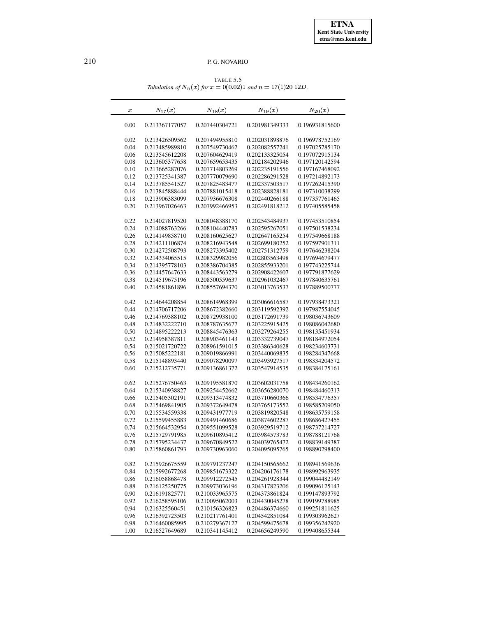TABLE 5.5 *Tabulation of*  $N_n(x)$  *for*  $x = 0(0.02)1$  *and*  $n = 17(1)20 12D$ .

<span id="page-12-0"></span>

| $\boldsymbol{x}$ | $N_{17}(x)$    | $N_{18}(x)$    | $N_{19}(x)$    | $N_{20}(x)$    |
|------------------|----------------|----------------|----------------|----------------|
| 0.00             | 0.213367177057 | 0.207440304721 | 0.201981349333 | 0.196931815600 |
| 0.02             | 0.213426509562 | 0.207494955810 | 0.202031898876 | 0.196978752169 |
| 0.04             | 0.213485989810 | 0.207549730462 | 0.202082557241 | 0.197025785170 |
| 0.06             | 0.213545612208 | 0.207604629419 | 0.202133325054 | 0.197072915134 |
| 0.08             | 0.213605377658 | 0.207659653435 | 0.202184202946 | 0.197120142594 |
| 0.10             | 0.213665287076 | 0.207714803269 | 0.202235191556 | 0.197167468092 |
| 0.12             | 0.213725341387 | 0.207770079690 | 0.202286291528 | 0.197214892173 |
| 0.14             | 0.213785541527 | 0.207825483477 | 0.202337503517 | 0.197262415390 |
| 0.16             | 0.213845888444 | 0.207881015418 | 0.202388828181 | 0.197310038299 |
| 0.18             | 0.213906383099 | 0.207936676308 | 0.202440266188 | 0.197357761465 |
| 0.20             | 0.213967026463 | 0.207992466953 | 0.202491818212 | 0.197405585458 |
| 0.22             | 0.214027819520 | 0.208048388170 | 0.202543484937 | 0.197453510854 |
| 0.24             | 0.214088763266 | 0.208104440783 | 0.202595267051 | 0.197501538234 |
| 0.26             | 0.214149858710 | 0.208160625627 | 0.202647165254 | 0.197549668188 |
| 0.28             | 0.214211106874 | 0.208216943548 | 0.202699180252 | 0.197597901311 |
| 0.30             | 0.214272508793 | 0.208273395402 | 0.202751312759 | 0.197646238204 |
| 0.32             | 0.214334065515 | 0.208329982056 | 0.202803563498 | 0.197694679477 |
| 0.34             | 0.214395778103 | 0.208386704385 | 0.202855933201 | 0.197743225744 |
| 0.36             | 0.214457647633 | 0.208443563279 | 0.202908422607 | 0.197791877629 |
| 0.38             | 0.214519675196 | 0.208500559637 | 0.202961032467 | 0.197840635761 |
| 0.40             | 0.214581861896 | 0.208557694370 | 0.203013763537 | 0.197889500777 |
| 0.42             | 0.214644208854 | 0.208614968399 | 0.203066616587 | 0.197938473321 |
| 0.44             | 0.214706717206 | 0.208672382660 | 0.203119592392 | 0.197987554045 |
| 0.46             | 0.214769388102 | 0.208729938100 | 0.203172691739 | 0.198036743609 |
| 0.48             | 0.214832222710 | 0.208787635677 | 0.203225915425 | 0.198086042680 |
| 0.50             | 0.214895222213 | 0.208845476363 | 0.203279264255 | 0.198135451934 |
| 0.52             | 0.214958387811 | 0.208903461143 | 0.203332739047 | 0.198184972054 |
| 0.54             | 0.215021720722 | 0.208961591015 | 0.203386340628 | 0.198234603731 |
| 0.56             | 0.215085222181 | 0.209019866991 | 0.203440069835 | 0.198284347668 |
| 0.58             | 0.215148893440 | 0.209078290097 | 0.203493927517 | 0.198334204572 |
| 0.60             | 0.215212735771 | 0.209136861372 | 0.203547914535 | 0.198384175161 |
| 0.62             | 0.215276750463 | 0.209195581870 | 0.203602031758 | 0.198434260162 |
| 0.64             | 0.215340938827 | 0.209254452662 | 0.203656280070 | 0.198484460313 |
| 0.66             | 0.215405302191 | 0.209313474832 | 0.203710660366 | 0.198534776357 |
| 0.68             | 0.215469841905 | 0.209372649478 | 0.203765173552 | 0.198585209050 |
| 0.70             | 0.215534559338 | 0.209431977719 | 0.203819820548 | 0.198635759158 |
| 0.72             | 0.215599455883 | 0.209491460686 | 0.203874602287 | 0.198686427455 |
| 0.74             | 0.215664532954 | 0.209551099528 | 0.203929519712 | 0.198737214727 |
| 0.76             | 0.215729791985 | 0.209610895412 | 0.203984573783 | 0.198788121768 |
| 0.78             | 0.215795234437 | 0.209670849522 | 0.204039765472 | 0.198839149387 |
| 0.80             | 0.215860861793 | 0.209730963060 | 0.204095095765 | 0.198890298400 |
| 0.82             | 0.215926675559 | 0.209791237247 | 0.204150565662 | 0.198941569636 |
| 0.84             | 0.215992677268 | 0.209851673322 | 0.204206176178 | 0.198992963935 |
| 0.86             | 0.216058868478 | 0.209912272545 | 0.204261928344 | 0.199044482149 |
| 0.88             | 0.216125250775 | 0.209973036196 | 0.204317823206 | 0.199096125143 |
| 0.90             | 0.216191825771 | 0.210033965575 | 0.204373861824 | 0.199147893792 |
| 0.92             | 0.216258595106 | 0.210095062003 | 0.204430045278 | 0.199199788985 |
| 0.94             | 0.216325560451 | 0.210156326823 | 0.204486374660 | 0.199251811625 |
| 0.96             | 0.216392723503 | 0.210217761401 | 0.204542851084 | 0.199303962627 |
| 0.98             | 0.216460085995 | 0.210279367127 | 0.204599475678 | 0.199356242920 |
| 1.00             | 0.216527649689 | 0.210341145412 | 0.204656249590 | 0.199408655344 |